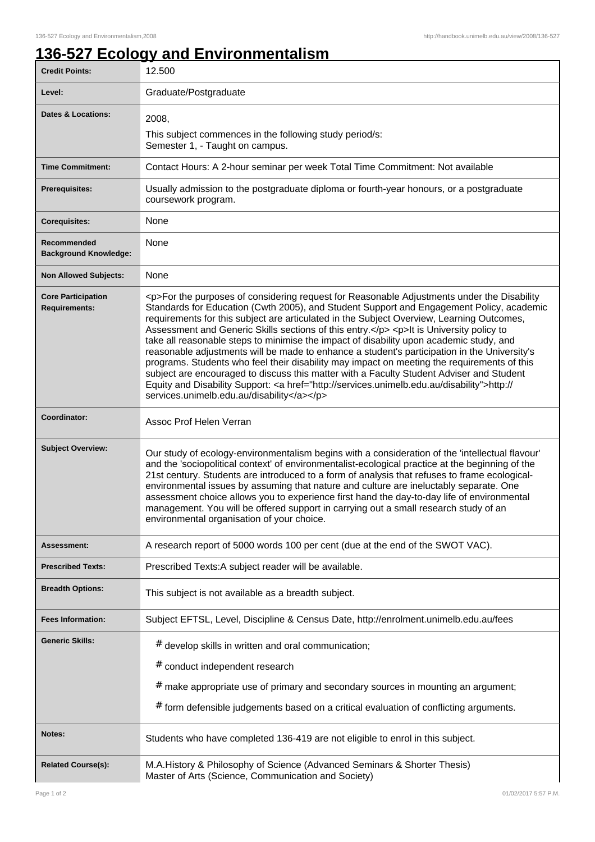## **136-527 Ecology and Environmentalism**

| <b>Credit Points:</b>                             | 12.500                                                                                                                                                                                                                                                                                                                                                                                                                                                                                                                                                                                                                                                                                                                                                                                                                                                                                                                       |
|---------------------------------------------------|------------------------------------------------------------------------------------------------------------------------------------------------------------------------------------------------------------------------------------------------------------------------------------------------------------------------------------------------------------------------------------------------------------------------------------------------------------------------------------------------------------------------------------------------------------------------------------------------------------------------------------------------------------------------------------------------------------------------------------------------------------------------------------------------------------------------------------------------------------------------------------------------------------------------------|
| Level:                                            | Graduate/Postgraduate                                                                                                                                                                                                                                                                                                                                                                                                                                                                                                                                                                                                                                                                                                                                                                                                                                                                                                        |
| <b>Dates &amp; Locations:</b>                     | 2008,                                                                                                                                                                                                                                                                                                                                                                                                                                                                                                                                                                                                                                                                                                                                                                                                                                                                                                                        |
|                                                   | This subject commences in the following study period/s:<br>Semester 1, - Taught on campus.                                                                                                                                                                                                                                                                                                                                                                                                                                                                                                                                                                                                                                                                                                                                                                                                                                   |
| <b>Time Commitment:</b>                           | Contact Hours: A 2-hour seminar per week Total Time Commitment: Not available                                                                                                                                                                                                                                                                                                                                                                                                                                                                                                                                                                                                                                                                                                                                                                                                                                                |
| <b>Prerequisites:</b>                             | Usually admission to the postgraduate diploma or fourth-year honours, or a postgraduate<br>coursework program.                                                                                                                                                                                                                                                                                                                                                                                                                                                                                                                                                                                                                                                                                                                                                                                                               |
| <b>Corequisites:</b>                              | None                                                                                                                                                                                                                                                                                                                                                                                                                                                                                                                                                                                                                                                                                                                                                                                                                                                                                                                         |
| Recommended<br><b>Background Knowledge:</b>       | None                                                                                                                                                                                                                                                                                                                                                                                                                                                                                                                                                                                                                                                                                                                                                                                                                                                                                                                         |
| <b>Non Allowed Subjects:</b>                      | None                                                                                                                                                                                                                                                                                                                                                                                                                                                                                                                                                                                                                                                                                                                                                                                                                                                                                                                         |
| <b>Core Participation</b><br><b>Requirements:</b> | <p>For the purposes of considering request for Reasonable Adjustments under the Disability<br/>Standards for Education (Cwth 2005), and Student Support and Engagement Policy, academic<br/>requirements for this subject are articulated in the Subject Overview, Learning Outcomes,<br/>Assessment and Generic Skills sections of this entry.</p> <p>It is University policy to<br/>take all reasonable steps to minimise the impact of disability upon academic study, and<br/>reasonable adjustments will be made to enhance a student's participation in the University's<br/>programs. Students who feel their disability may impact on meeting the requirements of this<br/>subject are encouraged to discuss this matter with a Faculty Student Adviser and Student<br/>Equity and Disability Support: &lt; a href="http://services.unimelb.edu.au/disability"&gt;http://<br/>services.unimelb.edu.au/disability</p> |
| Coordinator:                                      | Assoc Prof Helen Verran                                                                                                                                                                                                                                                                                                                                                                                                                                                                                                                                                                                                                                                                                                                                                                                                                                                                                                      |
| <b>Subject Overview:</b>                          | Our study of ecology-environmentalism begins with a consideration of the 'intellectual flavour'<br>and the 'sociopolitical context' of environmentalist-ecological practice at the beginning of the<br>21st century. Students are introduced to a form of analysis that refuses to frame ecological-<br>environmental issues by assuming that nature and culture are ineluctably separate. One<br>assessment choice allows you to experience first hand the day-to-day life of environmental<br>management. You will be offered support in carrying out a small research study of an<br>environmental organisation of your choice.                                                                                                                                                                                                                                                                                           |
| Assessment:                                       | A research report of 5000 words 100 per cent (due at the end of the SWOT VAC).                                                                                                                                                                                                                                                                                                                                                                                                                                                                                                                                                                                                                                                                                                                                                                                                                                               |
| <b>Prescribed Texts:</b>                          | Prescribed Texts:A subject reader will be available.                                                                                                                                                                                                                                                                                                                                                                                                                                                                                                                                                                                                                                                                                                                                                                                                                                                                         |
| <b>Breadth Options:</b>                           | This subject is not available as a breadth subject.                                                                                                                                                                                                                                                                                                                                                                                                                                                                                                                                                                                                                                                                                                                                                                                                                                                                          |
| <b>Fees Information:</b>                          | Subject EFTSL, Level, Discipline & Census Date, http://enrolment.unimelb.edu.au/fees                                                                                                                                                                                                                                                                                                                                                                                                                                                                                                                                                                                                                                                                                                                                                                                                                                         |
| <b>Generic Skills:</b>                            | # develop skills in written and oral communication;<br># conduct independent research                                                                                                                                                                                                                                                                                                                                                                                                                                                                                                                                                                                                                                                                                                                                                                                                                                        |
|                                                   | $#$ make appropriate use of primary and secondary sources in mounting an argument;                                                                                                                                                                                                                                                                                                                                                                                                                                                                                                                                                                                                                                                                                                                                                                                                                                           |
|                                                   | # form defensible judgements based on a critical evaluation of conflicting arguments.                                                                                                                                                                                                                                                                                                                                                                                                                                                                                                                                                                                                                                                                                                                                                                                                                                        |
| Notes:                                            | Students who have completed 136-419 are not eligible to enrol in this subject.                                                                                                                                                                                                                                                                                                                                                                                                                                                                                                                                                                                                                                                                                                                                                                                                                                               |
| <b>Related Course(s):</b>                         | M.A.History & Philosophy of Science (Advanced Seminars & Shorter Thesis)<br>Master of Arts (Science, Communication and Society)                                                                                                                                                                                                                                                                                                                                                                                                                                                                                                                                                                                                                                                                                                                                                                                              |